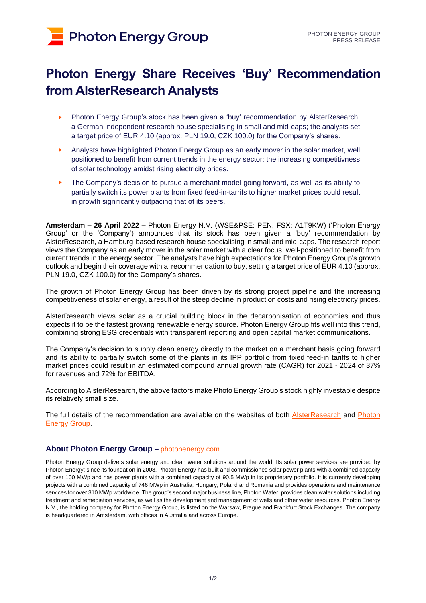# **Photon Energy Group**

## **Photon Energy Share Receives 'Buy' Recommendation from AlsterResearch Analysts**

- ► Photon Energy Group's stock has been given a 'buy' recommendation by AlsterResearch, a German independent research house specialising in small and mid-caps; the analysts set a target price of EUR 4.10 (approx. PLN 19.0, CZK 100.0) for the Company's shares.
- ► Analysts have highlighted Photon Energy Group as an early mover in the solar market, well positioned to benefit from current trends in the energy sector: the increasing competitivness of solar technology amidst rising electricity prices.
- The Company's decision to pursue a merchant model going forward, as well as its ability to partially switch its power plants from fixed feed-in-tarrifs to higher market prices could result in growth significantly outpacing that of its peers.

**Amsterdam – 26 April 2022 –** Photon Energy N.V. (WSE&PSE: PEN, FSX: A1T9KW) ('Photon Energy Group' or the 'Company') announces that its stock has been given a 'buy' recommendation by AlsterResearch, a Hamburg-based research house specialising in small and mid-caps. The research report views the Company as an early mover in the solar market with a clear focus, well-positioned to benefit from current trends in the energy sector. The analysts have high expectations for Photon Energy Group's growth outlook and begin their coverage with a recommendation to buy, setting a target price of EUR 4.10 (approx. PLN 19.0, CZK 100.0) for the Company's shares.

The growth of Photon Energy Group has been driven by its strong project pipeline and the increasing competitiveness of solar energy, a result of the steep decline in production costs and rising electricity prices.

AlsterResearch views solar as a crucial building block in the decarbonisation of economies and thus expects it to be the fastest growing renewable energy source. Photon Energy Group fits well into this trend, combining strong ESG credentials with transparent reporting and open capital market communications.

The Company's decision to supply clean energy directly to the market on a merchant basis going forward and its ability to partially switch some of the plants in its IPP portfolio from fixed feed-in tariffs to higher market prices could result in an estimated compound annual growth rate (CAGR) for 2021 - 2024 of 37% for revenues and 72% for EBITDA.

According to AlsterResearch, the above factors make Photo Energy Group's stock highly investable despite its relatively small size.

The full details of the recommendation are available on the websites of both **[AlsterResearch](https://www.research-hub.de/)** and **Photon** [Energy Group.](https://www.photonenergy.com/uploads/investors/documents/alsterresearch-report-from-25-april-2022.pdf)

#### **About Photon Energy Group** – [photonenergy.com](http://www.photonenergy.com/)

Photon Energy Group delivers solar energy and clean water solutions around the world. Its solar power services are provided by Photon Energy; since its foundation in 2008, Photon Energy has built and commissioned solar power plants with a combined capacity of over 100 MWp and has power plants with a combined capacity of 90.5 MWp in its proprietary portfolio. It is currently developing projects with a combined capacity of 746 MWp in Australia, Hungary, Poland and Romania and provides operations and maintenance services for over 310 MWp worldwide. The group's second major business line, Photon Water, provides clean water solutions including treatment and remediation services, as well as the development and management of wells and other water resources. Photon Energy N.V., the holding company for Photon Energy Group, is listed on the Warsaw, Prague and Frankfurt Stock Exchanges. The company is headquartered in Amsterdam, with offices in Australia and across Europe.